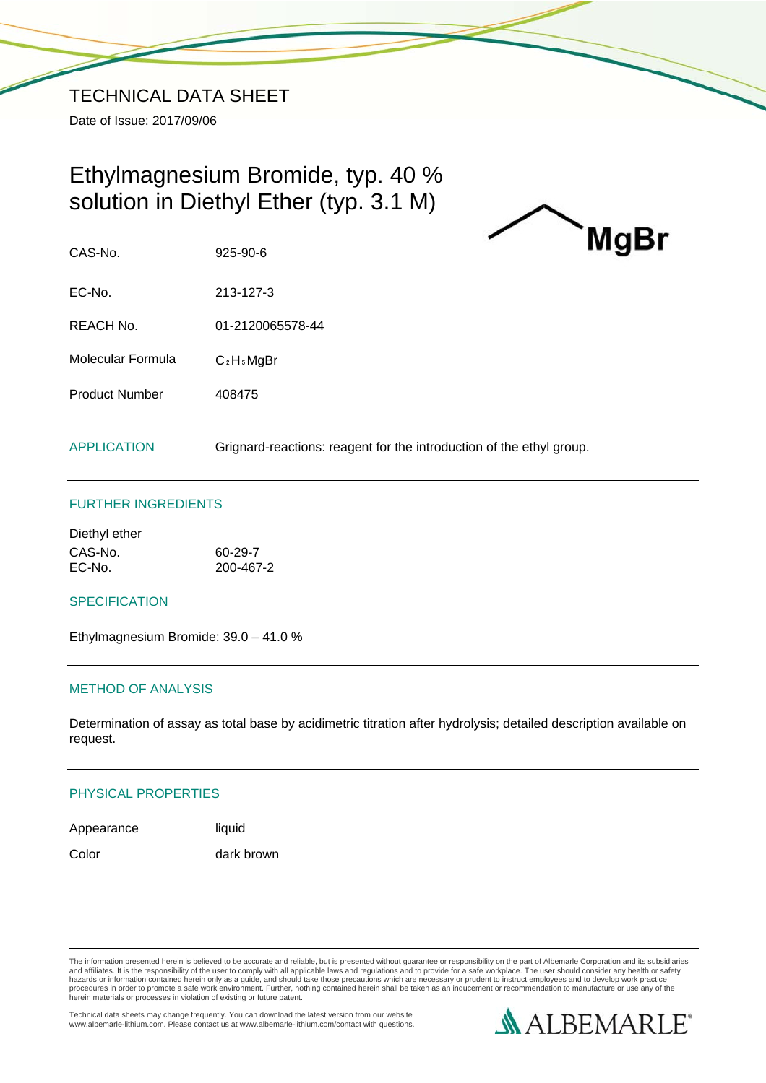# Ethylmagnesium Bromide, typ. 40 % solution in Diethyl Ether (typ. 3.1 M)



CAS-No. 925-90-6

EC-No. 213-127-3

REACH No. 01-2120065578-44

Molecular Formula C<sub>2</sub>H<sub>5</sub>MgBr

Product Number 408475

APPLICATION Grignard-reactions: reagent for the introduction of the ethyl group.

# FURTHER INGREDIENTS

| Diethyl ether     |                      |  |  |
|-------------------|----------------------|--|--|
| CAS-No.<br>EC-No. | 60-29-7<br>200-467-2 |  |  |
|                   |                      |  |  |

## **SPECIFICATION**

Ethylmagnesium Bromide: 39.0 – 41.0 %

# METHOD OF ANALYSIS

Determination of assay as total base by acidimetric titration after hydrolysis; detailed description available on request.

## PHYSICAL PROPERTIES

Appearance liquid Color dark brown

The information presented herein is believed to be accurate and reliable, but is presented without guarantee or responsibility on the part of Albemarle Corporation and its subsidiaries<br>and affiliates. It is the responsibil hazards or information contained herein only as a guide, and should take those precautions which are necessary or prudent to instruct employees and to develop work practice<br>procedures in order to promote a safe work enviro

Technical data sheets may change frequently. You can download the latest version from our website www.albemarle-lithium.com. Please contact us at www.albemarle-lithium.com/contact with questions.

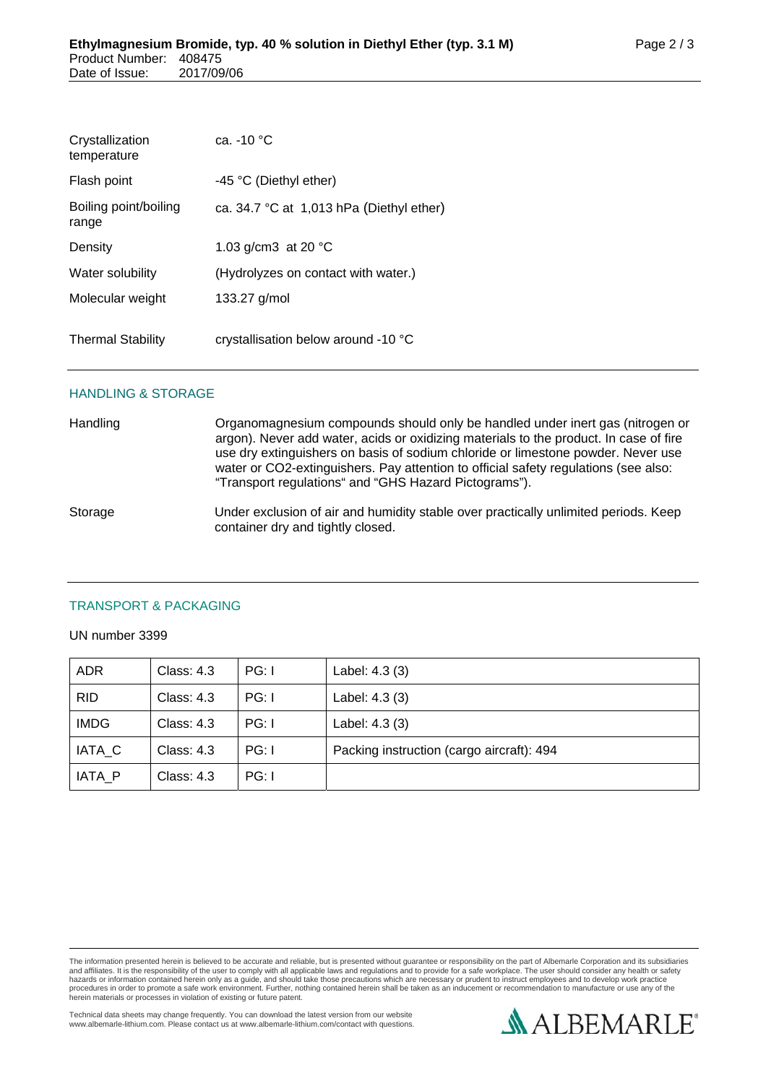| Crystallization<br>temperature | ca. $-10 °C$                               |
|--------------------------------|--------------------------------------------|
| Flash point                    | -45 °C (Diethyl ether)                     |
| Boiling point/boiling<br>range | ca. $34.7$ °C at 1,013 hPa (Diethyl ether) |
| Density                        | 1.03 g/cm3 at 20 $^{\circ}$ C              |
| Water solubility               | (Hydrolyzes on contact with water.)        |
| Molecular weight               | 133.27 g/mol                               |
| <b>Thermal Stability</b>       | crystallisation below around -10 °C        |

#### HANDLING & STORAGE

Handling **Cranomagnesium compounds should only be handled under inert gas (nitrogen or** argon). Never add water, acids or oxidizing materials to the product. In case of fire use dry extinguishers on basis of sodium chloride or limestone powder. Never use water or CO2-extinguishers. Pay attention to official safety regulations (see also: "Transport regulations" and "GHS Hazard Pictograms").

Storage Under exclusion of air and humidity stable over practically unlimited periods. Keep container dry and tightly closed.

## TRANSPORT & PACKAGING

#### UN number 3399

| <b>ADR</b>  | Class: $4.3$ | PG: I | Label: 4.3 (3)                            |
|-------------|--------------|-------|-------------------------------------------|
| <b>RID</b>  | Class: $4.3$ | PG: I | Label: 4.3 (3)                            |
| <b>IMDG</b> | Class: $4.3$ | PG: I | Label: 4.3 (3)                            |
| IATA C      | Class: 4.3   | PG: I | Packing instruction (cargo aircraft): 494 |
| IATA P      | Class: $4.3$ | PG: I |                                           |

The information presented herein is believed to be accurate and reliable, but is presented without guarantee or responsibility on the part of Albemarle Corporation and its subsidiaries<br>and affiliates. It is the responsibil hazards or information contained herein only as a guide, and should take those precautions which are necessary or prudent to instruct employees and to develop work practice<br>procedures in order to promote a safe work enviro

Technical data sheets may change frequently. You can download the latest version from our website www.albemarle-lithium.com. Please contact us at www.albemarle-lithium.com/contact with questions.